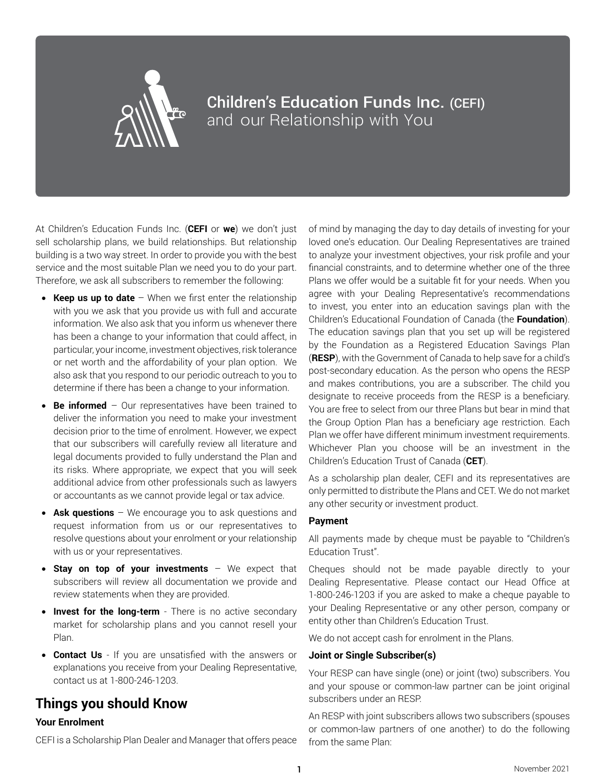

# Children's Education Funds Inc. (CEFI) and our Relationship with You

At Children's Education Funds Inc. (**CEFI** or **we**) we don't just sell scholarship plans, we build relationships. But relationship building is a two way street. In order to provide you with the best service and the most suitable Plan we need you to do your part. Therefore, we ask all subscribers to remember the following:

- **Keep us up to date** When we first enter the relationship with you we ask that you provide us with full and accurate information. We also ask that you inform us whenever there has been a change to your information that could affect, in particular, your income, investment objectives, risk tolerance or net worth and the affordability of your plan option. We also ask that you respond to our periodic outreach to you to determine if there has been a change to your information.
- **Be informed** Our representatives have been trained to deliver the information you need to make your investment decision prior to the time of enrolment. However, we expect that our subscribers will carefully review all literature and legal documents provided to fully understand the Plan and its risks. Where appropriate, we expect that you will seek additional advice from other professionals such as lawyers or accountants as we cannot provide legal or tax advice.
- **Ask questions** We encourage you to ask questions and request information from us or our representatives to resolve questions about your enrolment or your relationship with us or your representatives.
- • **Stay on top of your investments**  We expect that subscribers will review all documentation we provide and review statements when they are provided.
- **Invest for the long-term** There is no active secondary market for scholarship plans and you cannot resell your Plan.
- • **Contact Us**  If you are unsatisfied with the answers or explanations you receive from your Dealing Representative, contact us at 1-800-246-1203.

# **Things you should Know**

# **Your Enrolment**

CEFI is a Scholarship Plan Dealer and Manager that offers peace

of mind by managing the day to day details of investing for your loved one's education. Our Dealing Representatives are trained to analyze your investment objectives, your risk profile and your financial constraints, and to determine whether one of the three Plans we offer would be a suitable fit for your needs. When you agree with your Dealing Representative's recommendations to invest, you enter into an education savings plan with the Children's Educational Foundation of Canada (the **Foundation**). The education savings plan that you set up will be registered by the Foundation as a Registered Education Savings Plan (**RESP**), with the Government of Canada to help save for a child's post-secondary education. As the person who opens the RESP and makes contributions, you are a subscriber. The child you designate to receive proceeds from the RESP is a beneficiary. You are free to select from our three Plans but bear in mind that the Group Option Plan has a beneficiary age restriction. Each Plan we offer have different minimum investment requirements. Whichever Plan you choose will be an investment in the Children's Education Trust of Canada (**CET**).

As a scholarship plan dealer, CEFI and its representatives are only permitted to distribute the Plans and CET. We do not market any other security or investment product.

### **Payment**

All payments made by cheque must be payable to "Children's Education Trust".

Cheques should not be made payable directly to your Dealing Representative. Please contact our Head Office at 1-800-246-1203 if you are asked to make a cheque payable to your Dealing Representative or any other person, company or entity other than Children's Education Trust.

We do not accept cash for enrolment in the Plans.

### **Joint or Single Subscriber(s)**

Your RESP can have single (one) or joint (two) subscribers. You and your spouse or common-law partner can be joint original subscribers under an RESP.

An RESP with joint subscribers allows two subscribers (spouses or common-law partners of one another) to do the following from the same Plan: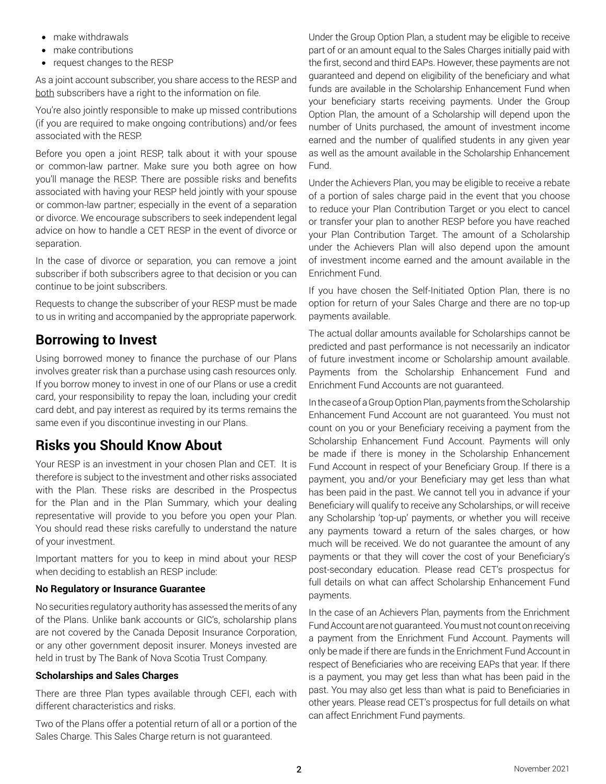- make withdrawals
- make contributions
- request changes to the RESP

As a joint account subscriber, you share access to the RESP and both subscribers have a right to the information on file.

You're also jointly responsible to make up missed contributions (if you are required to make ongoing contributions) and/or fees associated with the RESP.

Before you open a joint RESP, talk about it with your spouse or common-law partner. Make sure you both agree on how you'll manage the RESP. There are possible risks and benefits associated with having your RESP held jointly with your spouse or common-law partner; especially in the event of a separation or divorce. We encourage subscribers to seek independent legal advice on how to handle a CET RESP in the event of divorce or separation.

In the case of divorce or separation, you can remove a joint subscriber if both subscribers agree to that decision or you can continue to be joint subscribers.

Requests to change the subscriber of your RESP must be made to us in writing and accompanied by the appropriate paperwork.

# **Borrowing to Invest**

Using borrowed money to finance the purchase of our Plans involves greater risk than a purchase using cash resources only. If you borrow money to invest in one of our Plans or use a credit card, your responsibility to repay the loan, including your credit card debt, and pay interest as required by its terms remains the same even if you discontinue investing in our Plans.

# **Risks you Should Know About**

Your RESP is an investment in your chosen Plan and CET. It is therefore is subject to the investment and other risks associated with the Plan. These risks are described in the Prospectus for the Plan and in the Plan Summary, which your dealing representative will provide to you before you open your Plan. You should read these risks carefully to understand the nature of your investment.

Important matters for you to keep in mind about your RESP when deciding to establish an RESP include:

### **No Regulatory or Insurance Guarantee**

No securities regulatory authority has assessed the merits of any of the Plans. Unlike bank accounts or GIC's, scholarship plans are not covered by the Canada Deposit Insurance Corporation, or any other government deposit insurer. Moneys invested are held in trust by The Bank of Nova Scotia Trust Company.

### **Scholarships and Sales Charges**

There are three Plan types available through CEFI, each with different characteristics and risks.

Two of the Plans offer a potential return of all or a portion of the Sales Charge. This Sales Charge return is not guaranteed.

Under the Group Option Plan, a student may be eligible to receive part of or an amount equal to the Sales Charges initially paid with the first, second and third EAPs. However, these payments are not guaranteed and depend on eligibility of the beneficiary and what funds are available in the Scholarship Enhancement Fund when your beneficiary starts receiving payments. Under the Group Option Plan, the amount of a Scholarship will depend upon the number of Units purchased, the amount of investment income earned and the number of qualified students in any given year as well as the amount available in the Scholarship Enhancement Fund.

Under the Achievers Plan, you may be eligible to receive a rebate of a portion of sales charge paid in the event that you choose to reduce your Plan Contribution Target or you elect to cancel or transfer your plan to another RESP before you have reached your Plan Contribution Target. The amount of a Scholarship under the Achievers Plan will also depend upon the amount of investment income earned and the amount available in the Enrichment Fund.

If you have chosen the Self-Initiated Option Plan, there is no option for return of your Sales Charge and there are no top-up payments available.

The actual dollar amounts available for Scholarships cannot be predicted and past performance is not necessarily an indicator of future investment income or Scholarship amount available. Payments from the Scholarship Enhancement Fund and Enrichment Fund Accounts are not guaranteed.

In the case of a Group Option Plan, payments from the Scholarship Enhancement Fund Account are not guaranteed. You must not count on you or your Beneficiary receiving a payment from the Scholarship Enhancement Fund Account. Payments will only be made if there is money in the Scholarship Enhancement Fund Account in respect of your Beneficiary Group. If there is a payment, you and/or your Beneficiary may get less than what has been paid in the past. We cannot tell you in advance if your Beneficiary will qualify to receive any Scholarships, or will receive any Scholarship 'top-up' payments, or whether you will receive any payments toward a return of the sales charges, or how much will be received. We do not guarantee the amount of any payments or that they will cover the cost of your Beneficiary's post-secondary education. Please read CET's prospectus for full details on what can affect Scholarship Enhancement Fund payments.

In the case of an Achievers Plan, payments from the Enrichment Fund Account are not guaranteed. You must not count on receiving a payment from the Enrichment Fund Account. Payments will only be made if there are funds in the Enrichment Fund Account in respect of Beneficiaries who are receiving EAPs that year. If there is a payment, you may get less than what has been paid in the past. You may also get less than what is paid to Beneficiaries in other years. Please read CET's prospectus for full details on what can affect Enrichment Fund payments.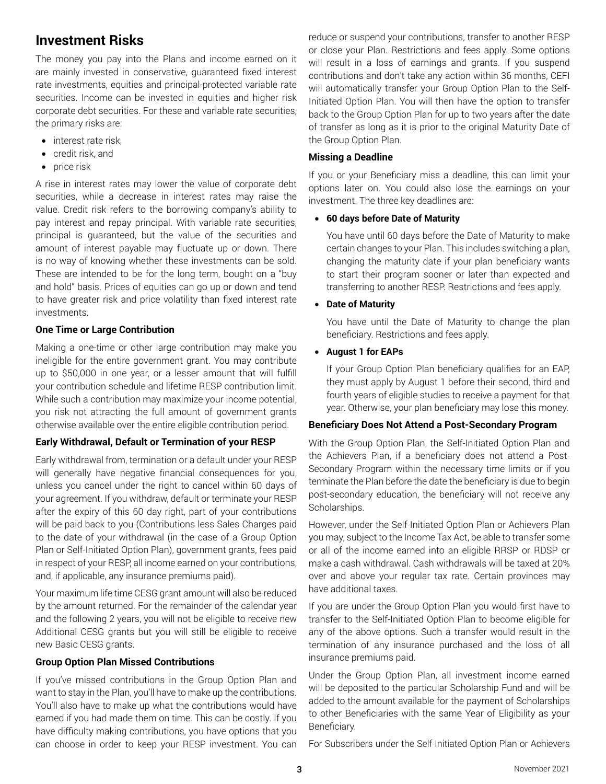# **Investment Risks**

The money you pay into the Plans and income earned on it are mainly invested in conservative, guaranteed fixed interest rate investments, equities and principal-protected variable rate securities. Income can be invested in equities and higher risk corporate debt securities. For these and variable rate securities, the primary risks are:

- interest rate risk,
- credit risk, and
- price risk

A rise in interest rates may lower the value of corporate debt securities, while a decrease in interest rates may raise the value. Credit risk refers to the borrowing company's ability to pay interest and repay principal. With variable rate securities, principal is guaranteed, but the value of the securities and amount of interest payable may fluctuate up or down. There is no way of knowing whether these investments can be sold. These are intended to be for the long term, bought on a "buy and hold" basis. Prices of equities can go up or down and tend to have greater risk and price volatility than fixed interest rate investments.

### **One Time or Large Contribution**

Making a one-time or other large contribution may make you ineligible for the entire government grant. You may contribute up to \$50,000 in one year, or a lesser amount that will fulfill your contribution schedule and lifetime RESP contribution limit. While such a contribution may maximize your income potential, you risk not attracting the full amount of government grants otherwise available over the entire eligible contribution period.

# **Early Withdrawal, Default or Termination of your RESP**

Early withdrawal from, termination or a default under your RESP will generally have negative financial consequences for you, unless you cancel under the right to cancel within 60 days of your agreement. If you withdraw, default or terminate your RESP after the expiry of this 60 day right, part of your contributions will be paid back to you (Contributions less Sales Charges paid to the date of your withdrawal (in the case of a Group Option Plan or Self-Initiated Option Plan), government grants, fees paid in respect of your RESP, all income earned on your contributions, and, if applicable, any insurance premiums paid).

Your maximum life time CESG grant amount will also be reduced by the amount returned. For the remainder of the calendar year and the following 2 years, you will not be eligible to receive new Additional CESG grants but you will still be eligible to receive new Basic CESG grants.

### **Group Option Plan Missed Contributions**

If you've missed contributions in the Group Option Plan and want to stay in the Plan, you'll have to make up the contributions. You'll also have to make up what the contributions would have earned if you had made them on time. This can be costly. If you have difficulty making contributions, you have options that you can choose in order to keep your RESP investment. You can

reduce or suspend your contributions, transfer to another RESP or close your Plan. Restrictions and fees apply. Some options will result in a loss of earnings and grants. If you suspend contributions and don't take any action within 36 months, CEFI will automatically transfer your Group Option Plan to the Self-Initiated Option Plan. You will then have the option to transfer back to the Group Option Plan for up to two years after the date of transfer as long as it is prior to the original Maturity Date of the Group Option Plan.

## **Missing a Deadline**

If you or your Beneficiary miss a deadline, this can limit your options later on. You could also lose the earnings on your investment. The three key deadlines are:

### • **60 days before Date of Maturity**

You have until 60 days before the Date of Maturity to make certain changes to your Plan. This includes switching a plan, changing the maturity date if your plan beneficiary wants to start their program sooner or later than expected and transferring to another RESP. Restrictions and fees apply.

• **Date of Maturity**

You have until the Date of Maturity to change the plan beneficiary. Restrictions and fees apply.

### • **August 1 for EAPs**

If your Group Option Plan beneficiary qualifies for an EAP, they must apply by August 1 before their second, third and fourth years of eligible studies to receive a payment for that year. Otherwise, your plan beneficiary may lose this money.

### **Beneficiary Does Not Attend a Post-Secondary Program**

With the Group Option Plan, the Self-Initiated Option Plan and the Achievers Plan, if a beneficiary does not attend a Post-Secondary Program within the necessary time limits or if you terminate the Plan before the date the beneficiary is due to begin post-secondary education, the beneficiary will not receive any Scholarships.

However, under the Self-Initiated Option Plan or Achievers Plan you may, subject to the Income Tax Act, be able to transfer some or all of the income earned into an eligible RRSP or RDSP or make a cash withdrawal. Cash withdrawals will be taxed at 20% over and above your regular tax rate. Certain provinces may have additional taxes.

If you are under the Group Option Plan you would first have to transfer to the Self-Initiated Option Plan to become eligible for any of the above options. Such a transfer would result in the termination of any insurance purchased and the loss of all insurance premiums paid.

Under the Group Option Plan, all investment income earned will be deposited to the particular Scholarship Fund and will be added to the amount available for the payment of Scholarships to other Beneficiaries with the same Year of Eligibility as your Beneficiary.

For Subscribers under the Self-Initiated Option Plan or Achievers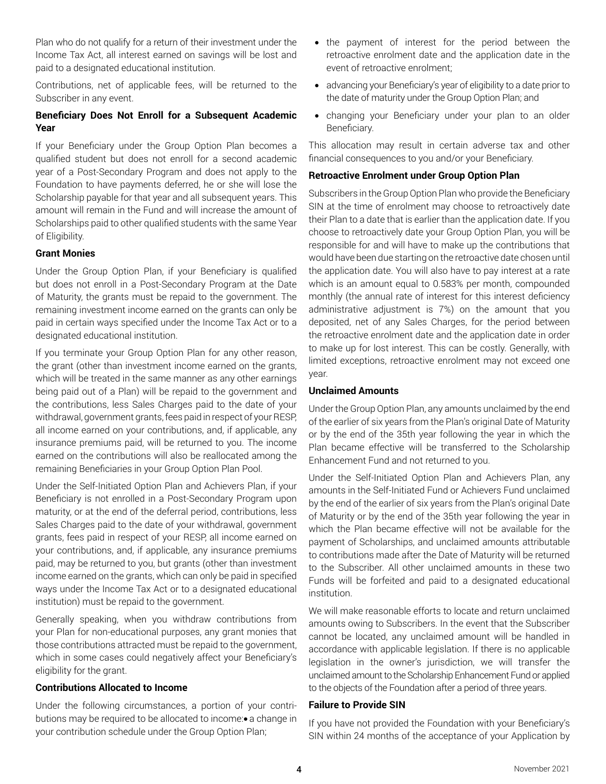Plan who do not qualify for a return of their investment under the Income Tax Act, all interest earned on savings will be lost and paid to a designated educational institution.

Contributions, net of applicable fees, will be returned to the Subscriber in any event.

## **Beneficiary Does Not Enroll for a Subsequent Academic Year**

If your Beneficiary under the Group Option Plan becomes a qualified student but does not enroll for a second academic year of a Post-Secondary Program and does not apply to the Foundation to have payments deferred, he or she will lose the Scholarship payable for that year and all subsequent years. This amount will remain in the Fund and will increase the amount of Scholarships paid to other qualified students with the same Year of Eligibility.

### **Grant Monies**

Under the Group Option Plan, if your Beneficiary is qualified but does not enroll in a Post-Secondary Program at the Date of Maturity, the grants must be repaid to the government. The remaining investment income earned on the grants can only be paid in certain ways specified under the Income Tax Act or to a designated educational institution.

If you terminate your Group Option Plan for any other reason, the grant (other than investment income earned on the grants, which will be treated in the same manner as any other earnings being paid out of a Plan) will be repaid to the government and the contributions, less Sales Charges paid to the date of your withdrawal, government grants, fees paid in respect of your RESP, all income earned on your contributions, and, if applicable, any insurance premiums paid, will be returned to you. The income earned on the contributions will also be reallocated among the remaining Beneficiaries in your Group Option Plan Pool.

Under the Self-Initiated Option Plan and Achievers Plan, if your Beneficiary is not enrolled in a Post-Secondary Program upon maturity, or at the end of the deferral period, contributions, less Sales Charges paid to the date of your withdrawal, government grants, fees paid in respect of your RESP, all income earned on your contributions, and, if applicable, any insurance premiums paid, may be returned to you, but grants (other than investment income earned on the grants, which can only be paid in specified ways under the Income Tax Act or to a designated educational institution) must be repaid to the government.

Generally speaking, when you withdraw contributions from your Plan for non-educational purposes, any grant monies that those contributions attracted must be repaid to the government, which in some cases could negatively affect your Beneficiary's eligibility for the grant.

### **Contributions Allocated to Income**

Under the following circumstances, a portion of your contributions may be required to be allocated to income:• a change in your contribution schedule under the Group Option Plan;

- the payment of interest for the period between the retroactive enrolment date and the application date in the event of retroactive enrolment;
- advancing your Beneficiary's year of eligibility to a date prior to the date of maturity under the Group Option Plan; and
- changing your Beneficiary under your plan to an older Beneficiary.

This allocation may result in certain adverse tax and other financial consequences to you and/or your Beneficiary.

### **Retroactive Enrolment under Group Option Plan**

Subscribers in the Group Option Plan who provide the Beneficiary SIN at the time of enrolment may choose to retroactively date their Plan to a date that is earlier than the application date. If you choose to retroactively date your Group Option Plan, you will be responsible for and will have to make up the contributions that would have been due starting on the retroactive date chosen until the application date. You will also have to pay interest at a rate which is an amount equal to 0.583% per month, compounded monthly (the annual rate of interest for this interest deficiency administrative adjustment is 7%) on the amount that you deposited, net of any Sales Charges, for the period between the retroactive enrolment date and the application date in order to make up for lost interest. This can be costly. Generally, with limited exceptions, retroactive enrolment may not exceed one year.

### **Unclaimed Amounts**

Under the Group Option Plan, any amounts unclaimed by the end of the earlier of six years from the Plan's original Date of Maturity or by the end of the 35th year following the year in which the Plan became effective will be transferred to the Scholarship Enhancement Fund and not returned to you.

Under the Self-Initiated Option Plan and Achievers Plan, any amounts in the Self-Initiated Fund or Achievers Fund unclaimed by the end of the earlier of six years from the Plan's original Date of Maturity or by the end of the 35th year following the year in which the Plan became effective will not be available for the payment of Scholarships, and unclaimed amounts attributable to contributions made after the Date of Maturity will be returned to the Subscriber. All other unclaimed amounts in these two Funds will be forfeited and paid to a designated educational institution.

We will make reasonable efforts to locate and return unclaimed amounts owing to Subscribers. In the event that the Subscriber cannot be located, any unclaimed amount will be handled in accordance with applicable legislation. If there is no applicable legislation in the owner's jurisdiction, we will transfer the unclaimed amount to the Scholarship Enhancement Fund or applied to the objects of the Foundation after a period of three years.

### **Failure to Provide SIN**

If you have not provided the Foundation with your Beneficiary's SIN within 24 months of the acceptance of your Application by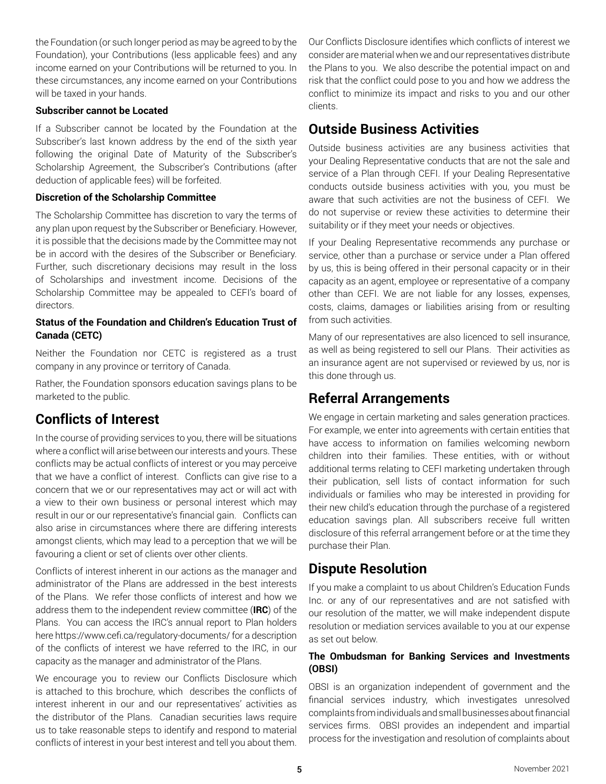the Foundation (or such longer period as may be agreed to by the Foundation), your Contributions (less applicable fees) and any income earned on your Contributions will be returned to you. In these circumstances, any income earned on your Contributions will be taxed in your hands.

### **Subscriber cannot be Located**

If a Subscriber cannot be located by the Foundation at the Subscriber's last known address by the end of the sixth year following the original Date of Maturity of the Subscriber's Scholarship Agreement, the Subscriber's Contributions (after deduction of applicable fees) will be forfeited.

### **Discretion of the Scholarship Committee**

The Scholarship Committee has discretion to vary the terms of any plan upon request by the Subscriber or Beneficiary. However, it is possible that the decisions made by the Committee may not be in accord with the desires of the Subscriber or Beneficiary. Further, such discretionary decisions may result in the loss of Scholarships and investment income. Decisions of the Scholarship Committee may be appealed to CEFI's board of directors.

## **Status of the Foundation and Children's Education Trust of Canada (CETC)**

Neither the Foundation nor CETC is registered as a trust company in any province or territory of Canada.

Rather, the Foundation sponsors education savings plans to be marketed to the public.

# **Conflicts of Interest**

In the course of providing services to you, there will be situations where a conflict will arise between our interests and yours. These conflicts may be actual conflicts of interest or you may perceive that we have a conflict of interest. Conflicts can give rise to a concern that we or our representatives may act or will act with a view to their own business or personal interest which may result in our or our representative's financial gain. Conflicts can also arise in circumstances where there are differing interests amongst clients, which may lead to a perception that we will be favouring a client or set of clients over other clients.

Conflicts of interest inherent in our actions as the manager and administrator of the Plans are addressed in the best interests of the Plans. We refer those conflicts of interest and how we address them to the independent review committee (**IRC**) of the Plans. You can access the IRC's annual report to Plan holders here https://www.cefi.ca/regulatory-documents/ for a description of the conflicts of interest we have referred to the IRC, in our capacity as the manager and administrator of the Plans.

We encourage you to review our Conflicts Disclosure which is attached to this brochure, which describes the conflicts of interest inherent in our and our representatives' activities as the distributor of the Plans. Canadian securities laws require us to take reasonable steps to identify and respond to material conflicts of interest in your best interest and tell you about them. Our Conflicts Disclosure identifies which conflicts of interest we consider are material when we and our representatives distribute the Plans to you. We also describe the potential impact on and risk that the conflict could pose to you and how we address the conflict to minimize its impact and risks to you and our other clients.

# **Outside Business Activities**

Outside business activities are any business activities that your Dealing Representative conducts that are not the sale and service of a Plan through CEFI. If your Dealing Representative conducts outside business activities with you, you must be aware that such activities are not the business of CEFI. We do not supervise or review these activities to determine their suitability or if they meet your needs or objectives.

If your Dealing Representative recommends any purchase or service, other than a purchase or service under a Plan offered by us, this is being offered in their personal capacity or in their capacity as an agent, employee or representative of a company other than CEFI. We are not liable for any losses, expenses, costs, claims, damages or liabilities arising from or resulting from such activities.

Many of our representatives are also licenced to sell insurance, as well as being registered to sell our Plans. Their activities as an insurance agent are not supervised or reviewed by us, nor is this done through us.

# **Referral Arrangements**

We engage in certain marketing and sales generation practices. For example, we enter into agreements with certain entities that have access to information on families welcoming newborn children into their families. These entities, with or without additional terms relating to CEFI marketing undertaken through their publication, sell lists of contact information for such individuals or families who may be interested in providing for their new child's education through the purchase of a registered education savings plan. All subscribers receive full written disclosure of this referral arrangement before or at the time they purchase their Plan.

# **Dispute Resolution**

If you make a complaint to us about Children's Education Funds Inc. or any of our representatives and are not satisfied with our resolution of the matter, we will make independent dispute resolution or mediation services available to you at our expense as set out below.

### **The Ombudsman for Banking Services and Investments (OBSI)**

OBSI is an organization independent of government and the financial services industry, which investigates unresolved complaints from individuals and small businesses about financial services firms. OBSI provides an independent and impartial process for the investigation and resolution of complaints about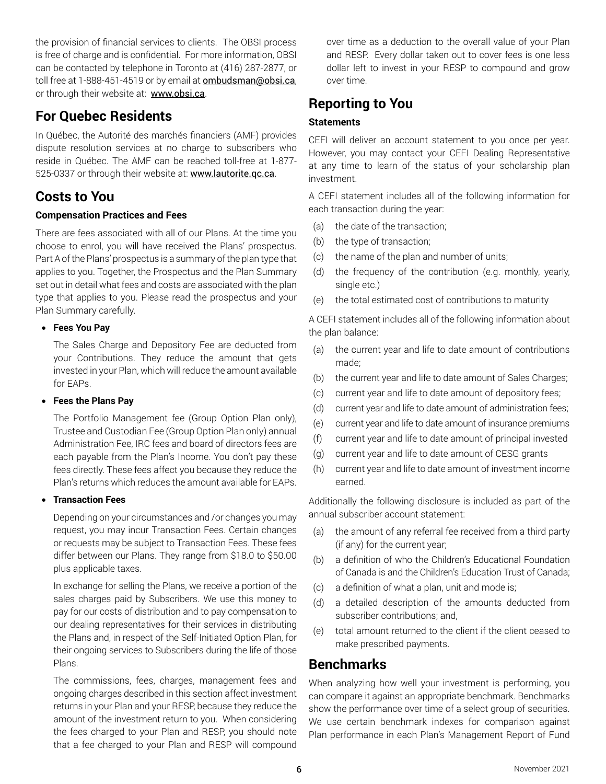the provision of financial services to clients. The OBSI process is free of charge and is confidential. For more information, OBSI can be contacted by telephone in Toronto at (416) 287-2877, or toll free at 1-888-451-4519 or by email at **ombudsman@obsi.ca**, or through their website at: www.obsi.ca.

# **For Quebec Residents**

In Québec, the Autorité des marchés financiers (AMF) provides dispute resolution services at no charge to subscribers who reside in Québec. The AMF can be reached toll-free at 1-877- 525-0337 or through their website at: www.lautorite.gc.ca.

# **Costs to You**

## **Compensation Practices and Fees**

There are fees associated with all of our Plans. At the time you choose to enrol, you will have received the Plans' prospectus. Part A of the Plans' prospectus is a summary of the plan type that applies to you. Together, the Prospectus and the Plan Summary set out in detail what fees and costs are associated with the plan type that applies to you. Please read the prospectus and your Plan Summary carefully.

### • **Fees You Pay**

The Sales Charge and Depository Fee are deducted from your Contributions. They reduce the amount that gets invested in your Plan, which will reduce the amount available for EAPs.

### • **Fees the Plans Pay**

The Portfolio Management fee (Group Option Plan only), Trustee and Custodian Fee (Group Option Plan only) annual Administration Fee, IRC fees and board of directors fees are each payable from the Plan's Income. You don't pay these fees directly. These fees affect you because they reduce the Plan's returns which reduces the amount available for EAPs.

### • **Transaction Fees**

Depending on your circumstances and /or changes you may request, you may incur Transaction Fees. Certain changes or requests may be subject to Transaction Fees. These fees differ between our Plans. They range from \$18.0 to \$50.00 plus applicable taxes.

In exchange for selling the Plans, we receive a portion of the sales charges paid by Subscribers. We use this money to pay for our costs of distribution and to pay compensation to our dealing representatives for their services in distributing the Plans and, in respect of the Self-Initiated Option Plan, for their ongoing services to Subscribers during the life of those Plans.

The commissions, fees, charges, management fees and ongoing charges described in this section affect investment returns in your Plan and your RESP, because they reduce the amount of the investment return to you. When considering the fees charged to your Plan and RESP, you should note that a fee charged to your Plan and RESP will compound

over time as a deduction to the overall value of your Plan and RESP. Every dollar taken out to cover fees is one less dollar left to invest in your RESP to compound and grow over time.

# **Reporting to You**

## **Statements**

CEFI will deliver an account statement to you once per year. However, you may contact your CEFI Dealing Representative at any time to learn of the status of your scholarship plan investment.

A CEFI statement includes all of the following information for each transaction during the year:

- (a) the date of the transaction;
- (b) the type of transaction;
- (c) the name of the plan and number of units;
- (d) the frequency of the contribution (e.g. monthly, yearly, single etc.)
- (e) the total estimated cost of contributions to maturity

A CEFI statement includes all of the following information about the plan balance:

- (a) the current year and life to date amount of contributions made;
- (b) the current year and life to date amount of Sales Charges;
- (c) current year and life to date amount of depository fees;
- (d) current year and life to date amount of administration fees;
- (e) current year and life to date amount of insurance premiums
- (f) current year and life to date amount of principal invested
- (g) current year and life to date amount of CESG grants
- (h) current year and life to date amount of investment income earned.

Additionally the following disclosure is included as part of the annual subscriber account statement:

- (a) the amount of any referral fee received from a third party (if any) for the current year;
- (b) a definition of who the Children's Educational Foundation of Canada is and the Children's Education Trust of Canada;
- (c) a definition of what a plan, unit and mode is;
- (d) a detailed description of the amounts deducted from subscriber contributions; and,
- (e) total amount returned to the client if the client ceased to make prescribed payments.

# **Benchmarks**

When analyzing how well your investment is performing, you can compare it against an appropriate benchmark. Benchmarks show the performance over time of a select group of securities. We use certain benchmark indexes for comparison against Plan performance in each Plan's Management Report of Fund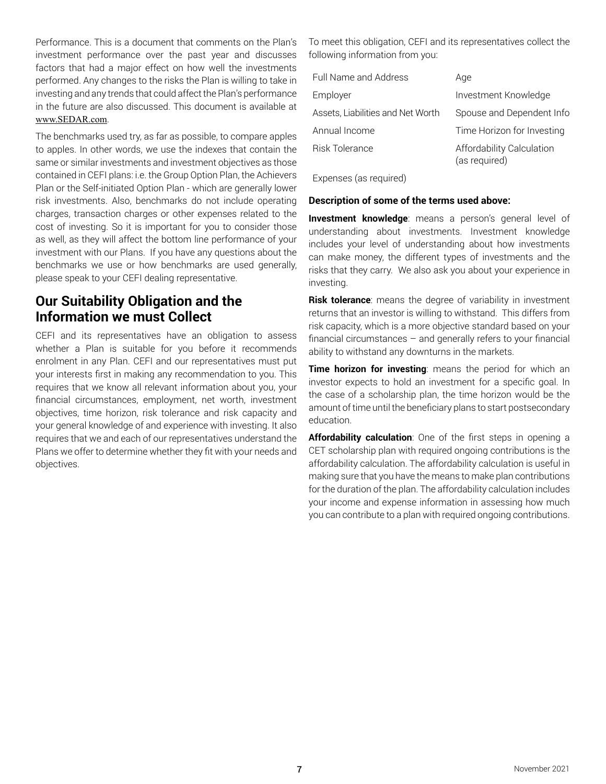Performance. This is a document that comments on the Plan's investment performance over the past year and discusses factors that had a major effect on how well the investments performed. Any changes to the risks the Plan is willing to take in investing and any trends that could affect the Plan's performance in the future are also discussed. This document is available at www.SEDAR.com.

The benchmarks used try, as far as possible, to compare apples to apples. In other words, we use the indexes that contain the same or similar investments and investment objectives as those contained in CEFI plans: i.e. the Group Option Plan, the Achievers Plan or the Self-initiated Option Plan - which are generally lower risk investments. Also, benchmarks do not include operating charges, transaction charges or other expenses related to the cost of investing. So it is important for you to consider those as well, as they will affect the bottom line performance of your investment with our Plans. If you have any questions about the benchmarks we use or how benchmarks are used generally, please speak to your CEFI dealing representative.

# **Our Suitability Obligation and the Information we must Collect**

CEFI and its representatives have an obligation to assess whether a Plan is suitable for you before it recommends enrolment in any Plan. CEFI and our representatives must put your interests first in making any recommendation to you. This requires that we know all relevant information about you, your financial circumstances, employment, net worth, investment objectives, time horizon, risk tolerance and risk capacity and your general knowledge of and experience with investing. It also requires that we and each of our representatives understand the Plans we offer to determine whether they fit with your needs and objectives.

To meet this obligation, CEFI and its representatives collect the following information from you:

| Full Name and Address             | Age                                        |
|-----------------------------------|--------------------------------------------|
| Employer                          | Investment Knowledge                       |
| Assets, Liabilities and Net Worth | Spouse and Dependent Info                  |
| Annual Income                     | Time Horizon for Investing                 |
| Risk Tolerance                    | Affordability Calculation<br>(as required) |

Expenses (as required)

### **Description of some of the terms used above:**

**Investment knowledge**: means a person's general level of understanding about investments. Investment knowledge includes your level of understanding about how investments can make money, the different types of investments and the risks that they carry. We also ask you about your experience in investing.

**Risk tolerance**: means the degree of variability in investment returns that an investor is willing to withstand. This differs from risk capacity, which is a more objective standard based on your financial circumstances – and generally refers to your financial ability to withstand any downturns in the markets.

**Time horizon for investing**: means the period for which an investor expects to hold an investment for a specific goal. In the case of a scholarship plan, the time horizon would be the amount of time until the beneficiary plans to start postsecondary education.

**Affordability calculation**: One of the first steps in opening a CET scholarship plan with required ongoing contributions is the affordability calculation. The affordability calculation is useful in making sure that you have the means to make plan contributions for the duration of the plan. The affordability calculation includes your income and expense information in assessing how much you can contribute to a plan with required ongoing contributions.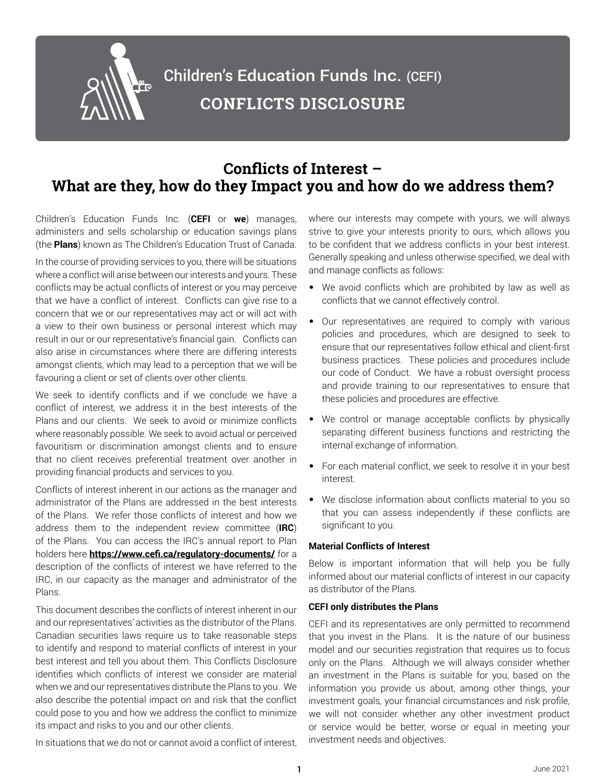

# **Conflicts of Interest – What are they, how do they Impact you and how do we address them?**

Children's Education Funds Inc. (**CEFI** or **we**) manages, administers and sells scholarship or education savings plans (the **Plans**) known as The Children's Education Trust of Canada.

In the course of providing services to you, there will be situations where a conflict will arise between our interests and yours. These conflicts may be actual conflicts of interest or you may perceive that we have a conflict of interest. Conflicts can give rise to a concern that we or our representatives may act or will act with a view to their own business or personal interest which may result in our or our representative's financial gain. Conflicts can also arise in circumstances where there are differing interests amongst clients, which may lead to a perception that we will be favouring a client or set of clients over other clients.

We seek to identify conflicts and if we conclude we have a conflict of interest, we address it in the best interests of the Plans and our clients. We seek to avoid or minimize conflicts where reasonably possible. We seek to avoid actual or perceived favouritism or discrimination amongst clients and to ensure that no client receives preferential treatment over another in providing financial products and services to you.

Conflicts of interest inherent in our actions as the manager and administrator of the Plans are addressed in the best interests of the Plans. We refer those conflicts of interest and how we address them to the independent review committee (**IRC**) of the Plans. You can access the IRC's annual report to Plan holders here **https://www.cefi.ca/regulatory-documents/** for a description of the conflicts of interest we have referred to the IRC, in our capacity as the manager and administrator of the Plans.

This document describes the conflicts of interest inherent in our and our representatives' activities as the distributor of the Plans. Canadian securities laws require us to take reasonable steps to identify and respond to material conflicts of interest in your best interest and tell you about them. This Conflicts Disclosure identifies which conflicts of interest we consider are material when we and our representatives distribute the Plans to you. We also describe the potential impact on and risk that the conflict could pose to you and how we address the conflict to minimize its impact and risks to you and our other clients.

where our interests may compete with yours, we will always strive to give your interests priority to ours, which allows you to be confident that we address conflicts in your best interest. Generally speaking and unless otherwise specified, we deal with and manage conflicts as follows:

- We avoid conflicts which are prohibited by law as well as conflicts that we cannot effectively control.
- Our representatives are required to comply with various policies and procedures, which are designed to seek to ensure that our representatives follow ethical and client-first business practices. These policies and procedures include our code of Conduct. We have a robust oversight process and provide training to our representatives to ensure that these policies and procedures are effective.
- We control or manage acceptable conflicts by physically separating different business functions and restricting the internal exchange of information.
- For each material conflict, we seek to resolve it in your best interest.
- We disclose information about conflicts material to you so that you can assess independently if these conflicts are significant to you.

### **Material Conflicts of Interest**

Below is important information that will help you be fully informed about our material conflicts of interest in our capacity as distributor of the Plans.

### **CEFI only distributes the Plans**

CEFI and its representatives are only permitted to recommend that you invest in the Plans. It is the nature of our business model and our securities registration that requires us to focus only on the Plans. Although we will always consider whether an investment in the Plans is suitable for you, based on the information you provide us about, among other things, your investment goals, your financial circumstances and risk profile, we will not consider whether any other investment product or service would be better, worse or equal in meeting your investment needs and objectives.

In situations that we do not or cannot avoid a conflict of interest,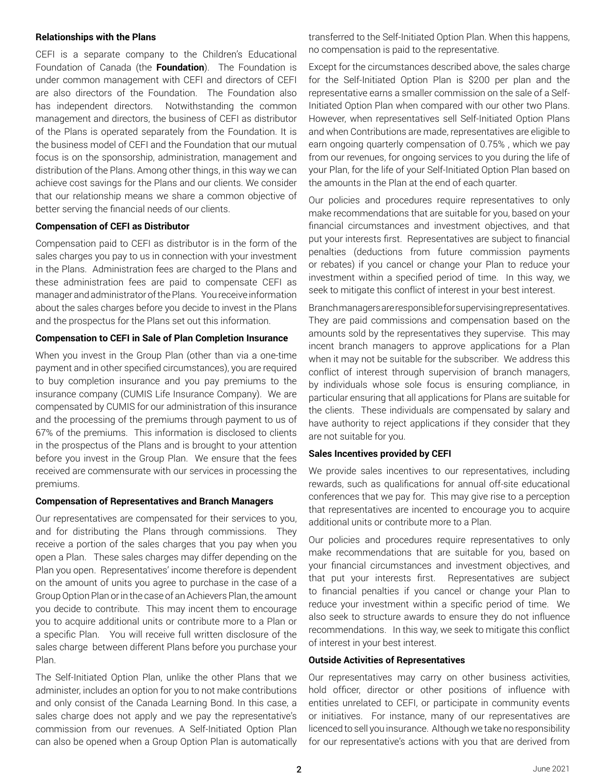#### **Relationships with the Plans**

CEFI is a separate company to the Children's Educational Foundation of Canada (the **Foundation**). The Foundation is under common management with CEFI and directors of CEFI are also directors of the Foundation. The Foundation also has independent directors. Notwithstanding the common management and directors, the business of CEFI as distributor of the Plans is operated separately from the Foundation. It is the business model of CEFI and the Foundation that our mutual focus is on the sponsorship, administration, management and distribution of the Plans. Among other things, in this way we can achieve cost savings for the Plans and our clients. We consider that our relationship means we share a common objective of better serving the financial needs of our clients.

### **Compensation of CEFI as Distributor**

Compensation paid to CEFI as distributor is in the form of the sales charges you pay to us in connection with your investment in the Plans. Administration fees are charged to the Plans and these administration fees are paid to compensate CEFI as manager and administrator of the Plans. You receive information about the sales charges before you decide to invest in the Plans and the prospectus for the Plans set out this information.

### **Compensation to CEFI in Sale of Plan Completion Insurance**

When you invest in the Group Plan (other than via a one-time payment and in other specified circumstances), you are required to buy completion insurance and you pay premiums to the insurance company (CUMIS Life Insurance Company). We are compensated by CUMIS for our administration of this insurance and the processing of the premiums through payment to us of 67% of the premiums. This information is disclosed to clients in the prospectus of the Plans and is brought to your attention before you invest in the Group Plan. We ensure that the fees received are commensurate with our services in processing the premiums.

#### **Compensation of Representatives and Branch Managers**

Our representatives are compensated for their services to you, and for distributing the Plans through commissions. They receive a portion of the sales charges that you pay when you open a Plan. These sales charges may differ depending on the Plan you open. Representatives' income therefore is dependent on the amount of units you agree to purchase in the case of a Group Option Plan or in the case of an Achievers Plan, the amount you decide to contribute. This may incent them to encourage you to acquire additional units or contribute more to a Plan or a specific Plan. You will receive full written disclosure of the sales charge between different Plans before you purchase your Plan.

The Self-Initiated Option Plan, unlike the other Plans that we administer, includes an option for you to not make contributions and only consist of the Canada Learning Bond. In this case, a sales charge does not apply and we pay the representative's commission from our revenues. A Self-Initiated Option Plan can also be opened when a Group Option Plan is automatically

transferred to the Self-Initiated Option Plan. When this happens, no compensation is paid to the representative.

Except for the circumstances described above, the sales charge for the Self-Initiated Option Plan is \$200 per plan and the representative earns a smaller commission on the sale of a Self-Initiated Option Plan when compared with our other two Plans. However, when representatives sell Self-Initiated Option Plans and when Contributions are made, representatives are eligible to earn ongoing quarterly compensation of 0.75% , which we pay from our revenues, for ongoing services to you during the life of your Plan, for the life of your Self-Initiated Option Plan based on the amounts in the Plan at the end of each quarter.

Our policies and procedures require representatives to only make recommendations that are suitable for you, based on your financial circumstances and investment objectives, and that put your interests first. Representatives are subject to financial penalties (deductions from future commission payments or rebates) if you cancel or change your Plan to reduce your investment within a specified period of time. In this way, we seek to mitigate this conflict of interest in your best interest.

Branch managers are responsible for supervising representatives. They are paid commissions and compensation based on the amounts sold by the representatives they supervise. This may incent branch managers to approve applications for a Plan when it may not be suitable for the subscriber. We address this conflict of interest through supervision of branch managers, by individuals whose sole focus is ensuring compliance, in particular ensuring that all applications for Plans are suitable for the clients. These individuals are compensated by salary and have authority to reject applications if they consider that they are not suitable for you.

### **Sales Incentives provided by CEFI**

We provide sales incentives to our representatives, including rewards, such as qualifications for annual off-site educational conferences that we pay for. This may give rise to a perception that representatives are incented to encourage you to acquire additional units or contribute more to a Plan.

Our policies and procedures require representatives to only make recommendations that are suitable for you, based on your financial circumstances and investment objectives, and that put your interests first. Representatives are subject to financial penalties if you cancel or change your Plan to reduce your investment within a specific period of time. We also seek to structure awards to ensure they do not influence recommendations. In this way, we seek to mitigate this conflict of interest in your best interest.

#### **Outside Activities of Representatives**

Our representatives may carry on other business activities, hold officer, director or other positions of influence with entities unrelated to CEFI, or participate in community events or initiatives. For instance, many of our representatives are licenced to sell you insurance. Although we take no responsibility for our representative's actions with you that are derived from